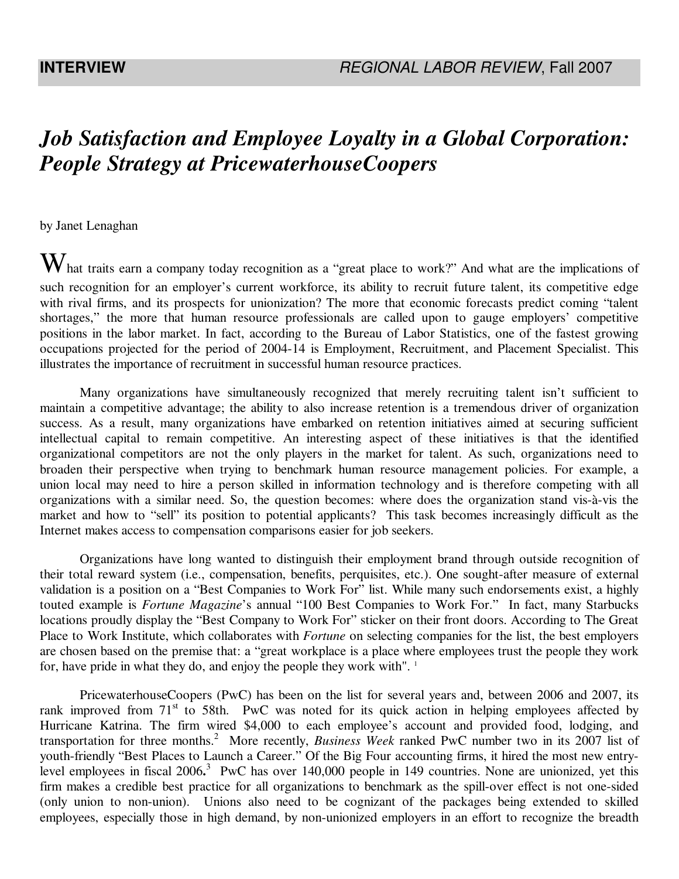# *Job Satisfaction and Employee Loyalty in a Global Corporation: People Strategy at PricewaterhouseCoopers*

by Janet Lenaghan

 $W$ hat traits earn a company today recognition as a "great place to work?" And what are the implications of such recognition for an employer's current workforce, its ability to recruit future talent, its competitive edge with rival firms, and its prospects for unionization? The more that economic forecasts predict coming "talent shortages," the more that human resource professionals are called upon to gauge employers' competitive positions in the labor market. In fact, according to the Bureau of Labor Statistics, one of the fastest growing occupations projected for the period of 2004-14 is Employment, Recruitment, and Placement Specialist. This illustrates the importance of recruitment in successful human resource practices.

Many organizations have simultaneously recognized that merely recruiting talent isn't sufficient to maintain a competitive advantage; the ability to also increase retention is a tremendous driver of organization success. As a result, many organizations have embarked on retention initiatives aimed at securing sufficient intellectual capital to remain competitive. An interesting aspect of these initiatives is that the identified organizational competitors are not the only players in the market for talent. As such, organizations need to broaden their perspective when trying to benchmark human resource management policies. For example, a union local may need to hire a person skilled in information technology and is therefore competing with all organizations with a similar need. So, the question becomes: where does the organization stand vis-à-vis the market and how to "sell" its position to potential applicants? This task becomes increasingly difficult as the Internet makes access to compensation comparisons easier for job seekers.

Organizations have long wanted to distinguish their employment brand through outside recognition of their total reward system (i.e., compensation, benefits, perquisites, etc.). One sought-after measure of external validation is a position on a "Best Companies to Work For" list. While many such endorsements exist, a highly touted example is *Fortune Magazine*'s annual "100 Best Companies to Work For." In fact, many Starbucks locations proudly display the "Best Company to Work For" sticker on their front doors. According to The Great Place to Work Institute, which collaborates with *Fortune* on selecting companies for the list, the best employers are chosen based on the premise that: a "great workplace is a place where employees trust the people they work for, have pride in what they do, and enjoy the people they work with".  $\frac{1}{1}$ 

PricewaterhouseCoopers (PwC) has been on the list for several years and, between 2006 and 2007, its rank improved from  $71<sup>st</sup>$  to 58th. PwC was noted for its quick action in helping employees affected by Hurricane Katrina. The firm wired \$4,000 to each employee's account and provided food, lodging, and transportation for three months.<sup>2</sup> More recently, *Business Week* ranked PwC number two in its 2007 list of youth-friendly "Best Places to Launch a Career." Of the Big Four accounting firms, it hired the most new entrylevel employees in fiscal 2006.<sup>3</sup> PwC has over 140,000 people in 149 countries. None are unionized, yet this firm makes a credible best practice for all organizations to benchmark as the spill-over effect is not one-sided (only union to non-union). Unions also need to be cognizant of the packages being extended to skilled employees, especially those in high demand, by non-unionized employers in an effort to recognize the breadth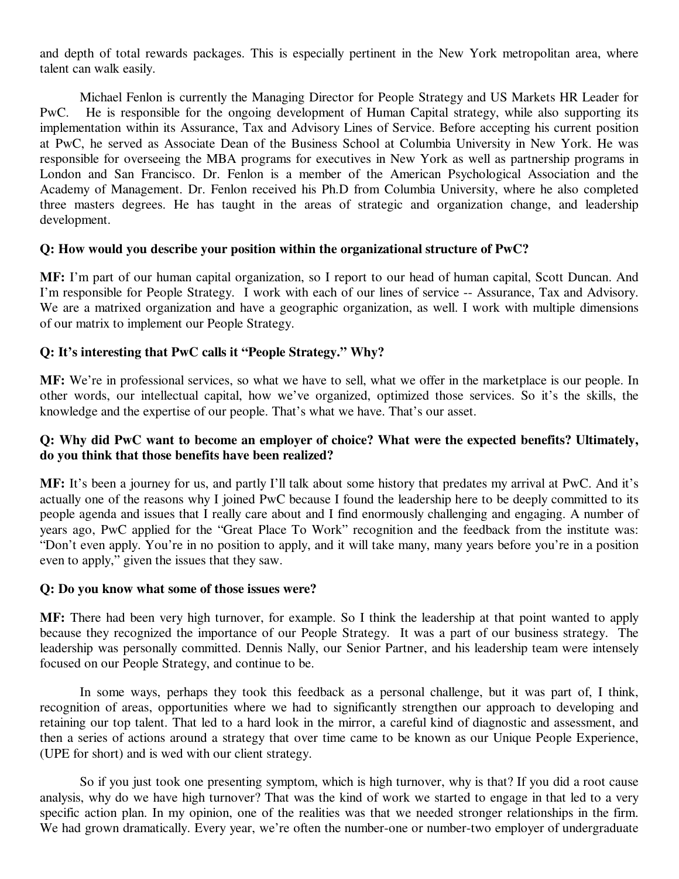and depth of total rewards packages. This is especially pertinent in the New York metropolitan area, where talent can walk easily.

Michael Fenlon is currently the Managing Director for People Strategy and US Markets HR Leader for PwC. He is responsible for the ongoing development of Human Capital strategy, while also supporting its implementation within its Assurance, Tax and Advisory Lines of Service. Before accepting his current position at PwC, he served as Associate Dean of the Business School at Columbia University in New York. He was responsible for overseeing the MBA programs for executives in New York as well as partnership programs in London and San Francisco. Dr. Fenlon is a member of the American Psychological Association and the Academy of Management. Dr. Fenlon received his Ph.D from Columbia University, where he also completed three masters degrees. He has taught in the areas of strategic and organization change, and leadership development.

#### **Q: How would you describe your position within the organizational structure of PwC?**

**MF:** I'm part of our human capital organization, so I report to our head of human capital, Scott Duncan. And I'm responsible for People Strategy. I work with each of our lines of service -- Assurance, Tax and Advisory. We are a matrixed organization and have a geographic organization, as well. I work with multiple dimensions of our matrix to implement our People Strategy.

# **Q: It's interesting that PwC calls it "People Strategy." Why?**

**MF:** We're in professional services, so what we have to sell, what we offer in the marketplace is our people. In other words, our intellectual capital, how we've organized, optimized those services. So it's the skills, the knowledge and the expertise of our people. That's what we have. That's our asset.

## **Q: Why did PwC want to become an employer of choice? What were the expected benefits? Ultimately, do you think that those benefits have been realized?**

**MF:** It's been a journey for us, and partly I'll talk about some history that predates my arrival at PwC. And it's actually one of the reasons why I joined PwC because I found the leadership here to be deeply committed to its people agenda and issues that I really care about and I find enormously challenging and engaging. A number of years ago, PwC applied for the "Great Place To Work" recognition and the feedback from the institute was: "Don't even apply. You're in no position to apply, and it will take many, many years before you're in a position even to apply," given the issues that they saw.

#### **Q: Do you know what some of those issues were?**

**MF:** There had been very high turnover, for example. So I think the leadership at that point wanted to apply because they recognized the importance of our People Strategy. It was a part of our business strategy. The leadership was personally committed. Dennis Nally, our Senior Partner, and his leadership team were intensely focused on our People Strategy, and continue to be.

In some ways, perhaps they took this feedback as a personal challenge, but it was part of, I think, recognition of areas, opportunities where we had to significantly strengthen our approach to developing and retaining our top talent. That led to a hard look in the mirror, a careful kind of diagnostic and assessment, and then a series of actions around a strategy that over time came to be known as our Unique People Experience, (UPE for short) and is wed with our client strategy.

So if you just took one presenting symptom, which is high turnover, why is that? If you did a root cause analysis, why do we have high turnover? That was the kind of work we started to engage in that led to a very specific action plan. In my opinion, one of the realities was that we needed stronger relationships in the firm. We had grown dramatically. Every year, we're often the number-one or number-two employer of undergraduate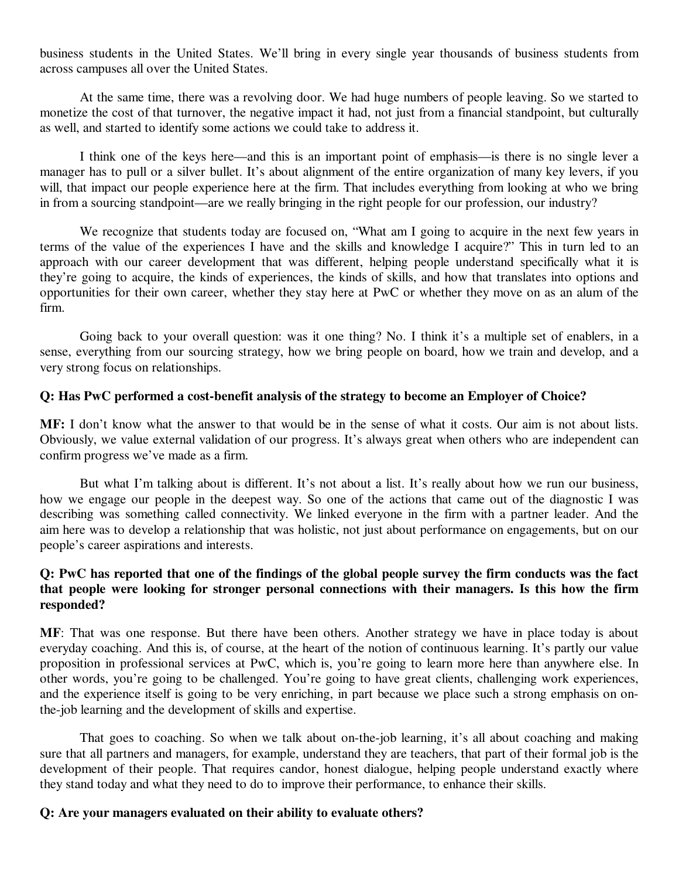business students in the United States. We'll bring in every single year thousands of business students from across campuses all over the United States.

At the same time, there was a revolving door. We had huge numbers of people leaving. So we started to monetize the cost of that turnover, the negative impact it had, not just from a financial standpoint, but culturally as well, and started to identify some actions we could take to address it.

I think one of the keys here—and this is an important point of emphasis—is there is no single lever a manager has to pull or a silver bullet. It's about alignment of the entire organization of many key levers, if you will, that impact our people experience here at the firm. That includes everything from looking at who we bring in from a sourcing standpoint—are we really bringing in the right people for our profession, our industry?

We recognize that students today are focused on, "What am I going to acquire in the next few years in terms of the value of the experiences I have and the skills and knowledge I acquire?" This in turn led to an approach with our career development that was different, helping people understand specifically what it is they're going to acquire, the kinds of experiences, the kinds of skills, and how that translates into options and opportunities for their own career, whether they stay here at PwC or whether they move on as an alum of the firm.

Going back to your overall question: was it one thing? No. I think it's a multiple set of enablers, in a sense, everything from our sourcing strategy, how we bring people on board, how we train and develop, and a very strong focus on relationships.

#### **Q: Has PwC performed a cost-benefit analysis of the strategy to become an Employer of Choice?**

**MF:** I don't know what the answer to that would be in the sense of what it costs. Our aim is not about lists. Obviously, we value external validation of our progress. It's always great when others who are independent can confirm progress we've made as a firm.

But what I'm talking about is different. It's not about a list. It's really about how we run our business, how we engage our people in the deepest way. So one of the actions that came out of the diagnostic I was describing was something called connectivity. We linked everyone in the firm with a partner leader. And the aim here was to develop a relationship that was holistic, not just about performance on engagements, but on our people's career aspirations and interests.

## **Q: PwC has reported that one of the findings of the global people survey the firm conducts was the fact that people were looking for stronger personal connections with their managers. Is this how the firm responded?**

**MF**: That was one response. But there have been others. Another strategy we have in place today is about everyday coaching. And this is, of course, at the heart of the notion of continuous learning. It's partly our value proposition in professional services at PwC, which is, you're going to learn more here than anywhere else. In other words, you're going to be challenged. You're going to have great clients, challenging work experiences, and the experience itself is going to be very enriching, in part because we place such a strong emphasis on onthe-job learning and the development of skills and expertise.

That goes to coaching. So when we talk about on-the-job learning, it's all about coaching and making sure that all partners and managers, for example, understand they are teachers, that part of their formal job is the development of their people. That requires candor, honest dialogue, helping people understand exactly where they stand today and what they need to do to improve their performance, to enhance their skills.

#### **Q: Are your managers evaluated on their ability to evaluate others?**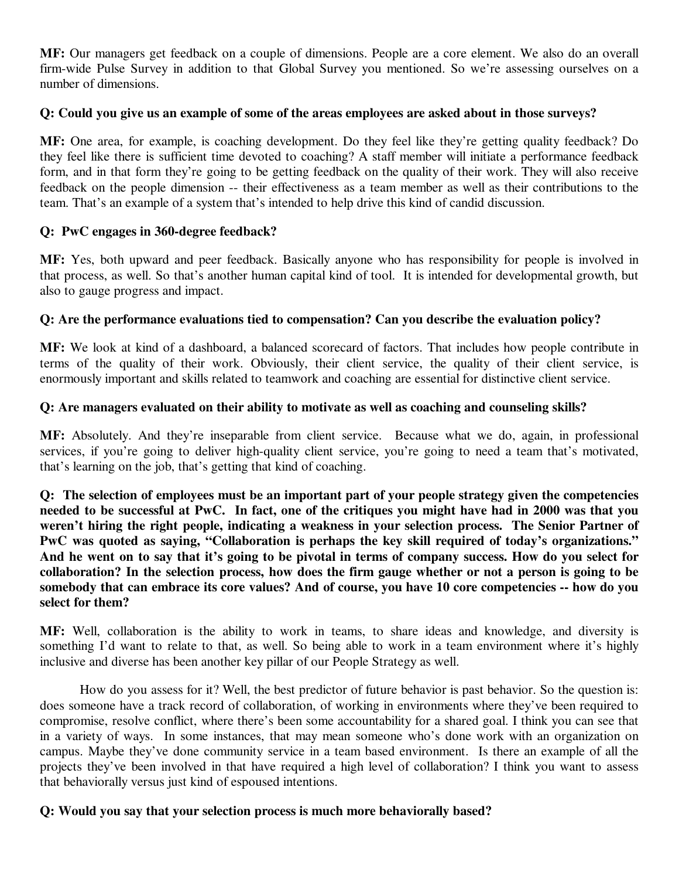**MF:** Our managers get feedback on a couple of dimensions. People are a core element. We also do an overall firm-wide Pulse Survey in addition to that Global Survey you mentioned. So we're assessing ourselves on a number of dimensions.

## **Q: Could you give us an example of some of the areas employees are asked about in those surveys?**

**MF:** One area, for example, is coaching development. Do they feel like they're getting quality feedback? Do they feel like there is sufficient time devoted to coaching? A staff member will initiate a performance feedback form, and in that form they're going to be getting feedback on the quality of their work. They will also receive feedback on the people dimension -- their effectiveness as a team member as well as their contributions to the team. That's an example of a system that's intended to help drive this kind of candid discussion.

# **Q: PwC engages in 360-degree feedback?**

**MF:** Yes, both upward and peer feedback. Basically anyone who has responsibility for people is involved in that process, as well. So that's another human capital kind of tool. It is intended for developmental growth, but also to gauge progress and impact.

# **Q: Are the performance evaluations tied to compensation? Can you describe the evaluation policy?**

**MF:** We look at kind of a dashboard, a balanced scorecard of factors. That includes how people contribute in terms of the quality of their work. Obviously, their client service, the quality of their client service, is enormously important and skills related to teamwork and coaching are essential for distinctive client service.

# **Q: Are managers evaluated on their ability to motivate as well as coaching and counseling skills?**

**MF:** Absolutely. And they're inseparable from client service. Because what we do, again, in professional services, if you're going to deliver high-quality client service, you're going to need a team that's motivated, that's learning on the job, that's getting that kind of coaching.

**Q: The selection of employees must be an important part of your people strategy given the competencies needed to be successful at PwC. In fact, one of the critiques you might have had in 2000 was that you weren't hiring the right people, indicating a weakness in your selection process. The Senior Partner of PwC was quoted as saying, "Collaboration is perhaps the key skill required of today's organizations." And he went on to say that it's going to be pivotal in terms of company success. How do you select for collaboration? In the selection process, how does the firm gauge whether or not a person is going to be somebody that can embrace its core values? And of course, you have 10 core competencies -- how do you select for them?** 

**MF:** Well, collaboration is the ability to work in teams, to share ideas and knowledge, and diversity is something I'd want to relate to that, as well. So being able to work in a team environment where it's highly inclusive and diverse has been another key pillar of our People Strategy as well.

How do you assess for it? Well, the best predictor of future behavior is past behavior. So the question is: does someone have a track record of collaboration, of working in environments where they've been required to compromise, resolve conflict, where there's been some accountability for a shared goal. I think you can see that in a variety of ways. In some instances, that may mean someone who's done work with an organization on campus. Maybe they've done community service in a team based environment. Is there an example of all the projects they've been involved in that have required a high level of collaboration? I think you want to assess that behaviorally versus just kind of espoused intentions.

# **Q: Would you say that your selection process is much more behaviorally based?**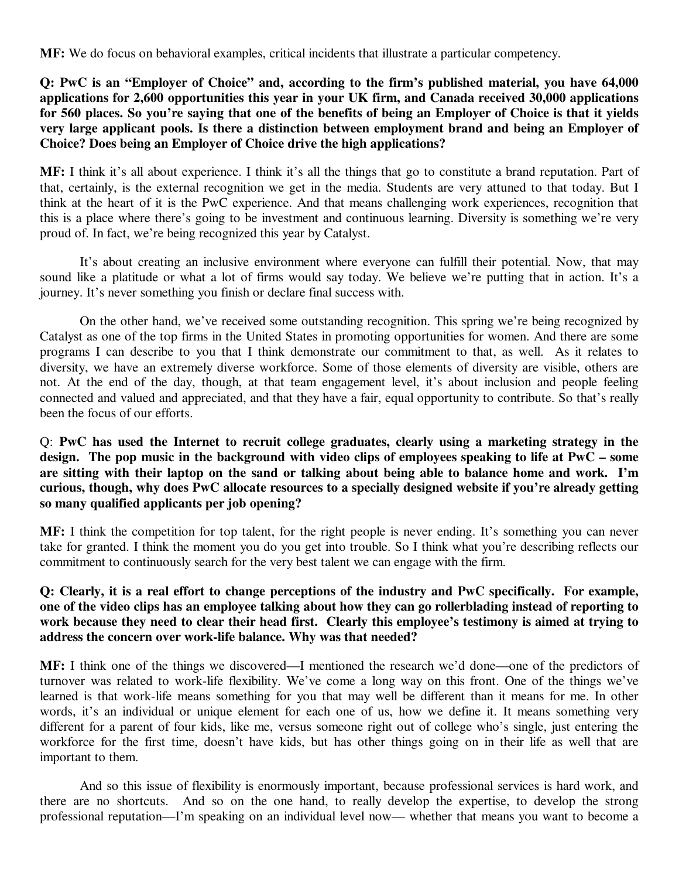**MF:** We do focus on behavioral examples, critical incidents that illustrate a particular competency.

**Q: PwC is an "Employer of Choice" and, according to the firm's published material, you have 64,000 applications for 2,600 opportunities this year in your UK firm, and Canada received 30,000 applications for 560 places. So you're saying that one of the benefits of being an Employer of Choice is that it yields very large applicant pools. Is there a distinction between employment brand and being an Employer of Choice? Does being an Employer of Choice drive the high applications?** 

**MF:** I think it's all about experience. I think it's all the things that go to constitute a brand reputation. Part of that, certainly, is the external recognition we get in the media. Students are very attuned to that today. But I think at the heart of it is the PwC experience. And that means challenging work experiences, recognition that this is a place where there's going to be investment and continuous learning. Diversity is something we're very proud of. In fact, we're being recognized this year by Catalyst.

It's about creating an inclusive environment where everyone can fulfill their potential. Now, that may sound like a platitude or what a lot of firms would say today. We believe we're putting that in action. It's a journey. It's never something you finish or declare final success with.

On the other hand, we've received some outstanding recognition. This spring we're being recognized by Catalyst as one of the top firms in the United States in promoting opportunities for women. And there are some programs I can describe to you that I think demonstrate our commitment to that, as well. As it relates to diversity, we have an extremely diverse workforce. Some of those elements of diversity are visible, others are not. At the end of the day, though, at that team engagement level, it's about inclusion and people feeling connected and valued and appreciated, and that they have a fair, equal opportunity to contribute. So that's really been the focus of our efforts.

Q: **PwC has used the Internet to recruit college graduates, clearly using a marketing strategy in the design. The pop music in the background with video clips of employees speaking to life at PwC – some are sitting with their laptop on the sand or talking about being able to balance home and work. I'm curious, though, why does PwC allocate resources to a specially designed website if you're already getting so many qualified applicants per job opening?** 

**MF:** I think the competition for top talent, for the right people is never ending. It's something you can never take for granted. I think the moment you do you get into trouble. So I think what you're describing reflects our commitment to continuously search for the very best talent we can engage with the firm.

## **Q: Clearly, it is a real effort to change perceptions of the industry and PwC specifically. For example, one of the video clips has an employee talking about how they can go rollerblading instead of reporting to work because they need to clear their head first. Clearly this employee's testimony is aimed at trying to address the concern over work-life balance. Why was that needed?**

**MF:** I think one of the things we discovered—I mentioned the research we'd done—one of the predictors of turnover was related to work-life flexibility. We've come a long way on this front. One of the things we've learned is that work-life means something for you that may well be different than it means for me. In other words, it's an individual or unique element for each one of us, how we define it. It means something very different for a parent of four kids, like me, versus someone right out of college who's single, just entering the workforce for the first time, doesn't have kids, but has other things going on in their life as well that are important to them.

And so this issue of flexibility is enormously important, because professional services is hard work, and there are no shortcuts. And so on the one hand, to really develop the expertise, to develop the strong professional reputation—I'm speaking on an individual level now— whether that means you want to become a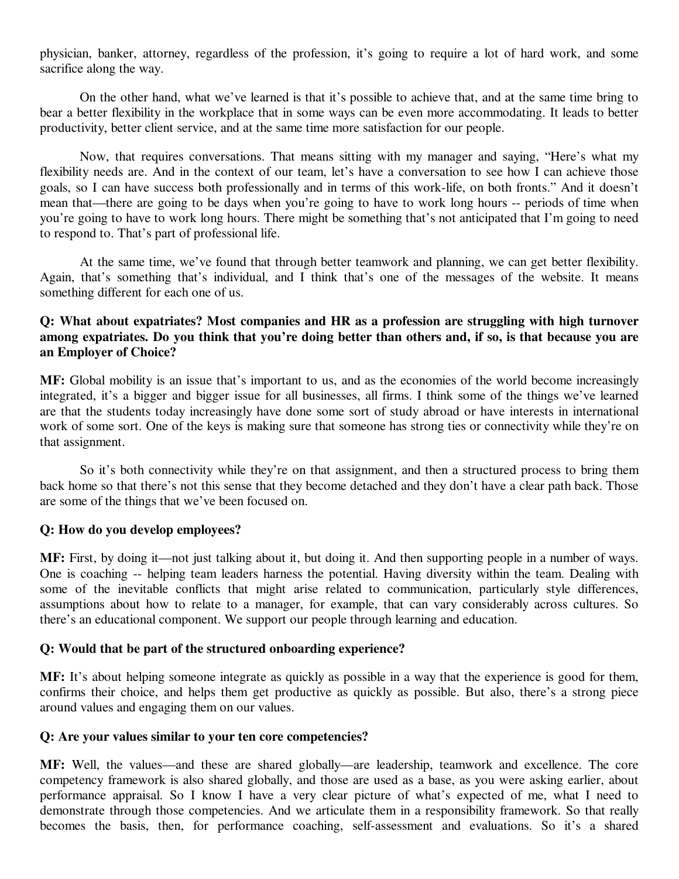physician, banker, attorney, regardless of the profession, it's going to require a lot of hard work, and some sacrifice along the way.

On the other hand, what we've learned is that it's possible to achieve that, and at the same time bring to bear a better flexibility in the workplace that in some ways can be even more accommodating. It leads to better productivity, better client service, and at the same time more satisfaction for our people.

Now, that requires conversations. That means sitting with my manager and saying, "Here's what my flexibility needs are. And in the context of our team, let's have a conversation to see how I can achieve those goals, so I can have success both professionally and in terms of this work-life, on both fronts." And it doesn't mean that—there are going to be days when you're going to have to work long hours -- periods of time when you're going to have to work long hours. There might be something that's not anticipated that I'm going to need to respond to. That's part of professional life.

At the same time, we've found that through better teamwork and planning, we can get better flexibility. Again, that's something that's individual, and I think that's one of the messages of the website. It means something different for each one of us.

## **Q: What about expatriates? Most companies and HR as a profession are struggling with high turnover among expatriates. Do you think that you're doing better than others and, if so, is that because you are an Employer of Choice?**

**MF:** Global mobility is an issue that's important to us, and as the economies of the world become increasingly integrated, it's a bigger and bigger issue for all businesses, all firms. I think some of the things we've learned are that the students today increasingly have done some sort of study abroad or have interests in international work of some sort. One of the keys is making sure that someone has strong ties or connectivity while they're on that assignment.

So it's both connectivity while they're on that assignment, and then a structured process to bring them back home so that there's not this sense that they become detached and they don't have a clear path back. Those are some of the things that we've been focused on.

#### **Q: How do you develop employees?**

**MF:** First, by doing it—not just talking about it, but doing it. And then supporting people in a number of ways. One is coaching -- helping team leaders harness the potential. Having diversity within the team. Dealing with some of the inevitable conflicts that might arise related to communication, particularly style differences, assumptions about how to relate to a manager, for example, that can vary considerably across cultures. So there's an educational component. We support our people through learning and education.

#### **Q: Would that be part of the structured onboarding experience?**

**MF:** It's about helping someone integrate as quickly as possible in a way that the experience is good for them, confirms their choice, and helps them get productive as quickly as possible. But also, there's a strong piece around values and engaging them on our values.

#### **Q: Are your values similar to your ten core competencies?**

**MF:** Well, the values—and these are shared globally—are leadership, teamwork and excellence. The core competency framework is also shared globally, and those are used as a base, as you were asking earlier, about performance appraisal. So I know I have a very clear picture of what's expected of me, what I need to demonstrate through those competencies. And we articulate them in a responsibility framework. So that really becomes the basis, then, for performance coaching, self-assessment and evaluations. So it's a shared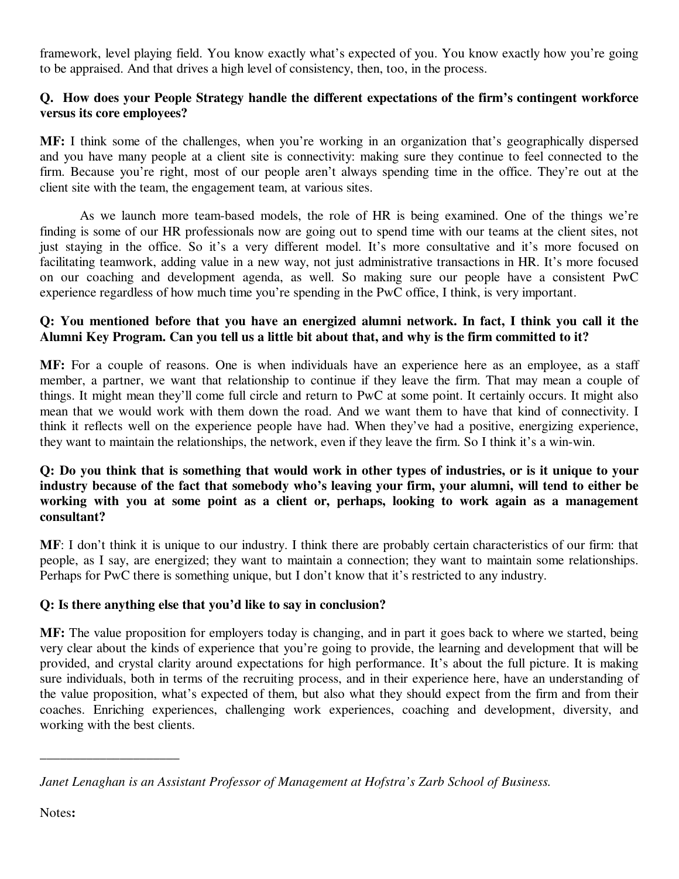framework, level playing field. You know exactly what's expected of you. You know exactly how you're going to be appraised. And that drives a high level of consistency, then, too, in the process.

# **Q. How does your People Strategy handle the different expectations of the firm's contingent workforce versus its core employees?**

**MF:** I think some of the challenges, when you're working in an organization that's geographically dispersed and you have many people at a client site is connectivity: making sure they continue to feel connected to the firm. Because you're right, most of our people aren't always spending time in the office. They're out at the client site with the team, the engagement team, at various sites.

As we launch more team-based models, the role of HR is being examined. One of the things we're finding is some of our HR professionals now are going out to spend time with our teams at the client sites, not just staying in the office. So it's a very different model. It's more consultative and it's more focused on facilitating teamwork, adding value in a new way, not just administrative transactions in HR. It's more focused on our coaching and development agenda, as well. So making sure our people have a consistent PwC experience regardless of how much time you're spending in the PwC office, I think, is very important.

# **Q: You mentioned before that you have an energized alumni network. In fact, I think you call it the Alumni Key Program. Can you tell us a little bit about that, and why is the firm committed to it?**

**MF:** For a couple of reasons. One is when individuals have an experience here as an employee, as a staff member, a partner, we want that relationship to continue if they leave the firm. That may mean a couple of things. It might mean they'll come full circle and return to PwC at some point. It certainly occurs. It might also mean that we would work with them down the road. And we want them to have that kind of connectivity. I think it reflects well on the experience people have had. When they've had a positive, energizing experience, they want to maintain the relationships, the network, even if they leave the firm. So I think it's a win-win.

## **Q: Do you think that is something that would work in other types of industries, or is it unique to your industry because of the fact that somebody who's leaving your firm, your alumni, will tend to either be working with you at some point as a client or, perhaps, looking to work again as a management consultant?**

**MF**: I don't think it is unique to our industry. I think there are probably certain characteristics of our firm: that people, as I say, are energized; they want to maintain a connection; they want to maintain some relationships. Perhaps for PwC there is something unique, but I don't know that it's restricted to any industry.

# **Q: Is there anything else that you'd like to say in conclusion?**

**MF:** The value proposition for employers today is changing, and in part it goes back to where we started, being very clear about the kinds of experience that you're going to provide, the learning and development that will be provided, and crystal clarity around expectations for high performance. It's about the full picture. It is making sure individuals, both in terms of the recruiting process, and in their experience here, have an understanding of the value proposition, what's expected of them, but also what they should expect from the firm and from their coaches. Enriching experiences, challenging work experiences, coaching and development, diversity, and working with the best clients.

\_\_\_\_\_\_\_\_\_\_\_\_\_\_\_\_\_\_\_\_\_

*Janet Lenaghan is an Assistant Professor of Management at Hofstra's Zarb School of Business.*